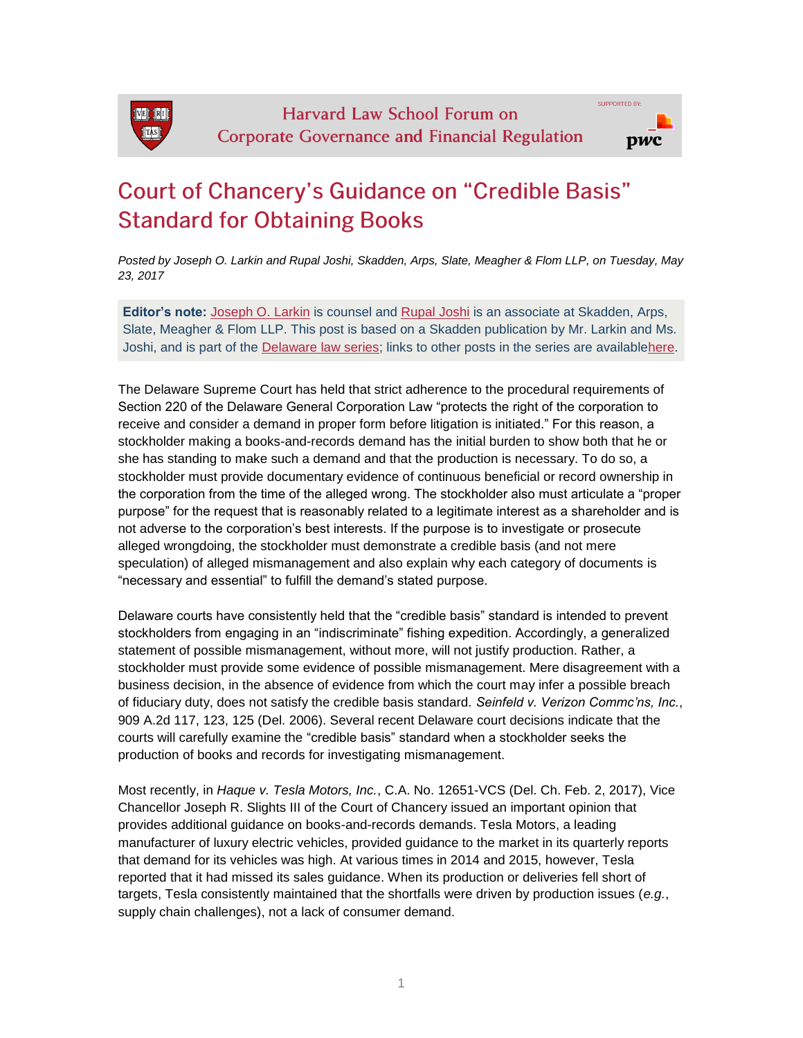## **Court of Chancery's Guidance on "Credible Basis" Standard for Obtaining Books**

*Posted by Joseph O. Larkin and Rupal Joshi, Skadden, Arps, Slate, Meagher & Flom LLP, on Tuesday, May 23, 2017*

**Editor's note:** [Joseph O. Larkin](https://www.skadden.com/professionals/l/larkin-joseph-o) is counsel and [Rupal Joshi](https://www.skadden.com/professionals/j/joshi-rupal) is an associate at Skadden, Arps, Slate, Meagher & Flom LLP. This post is based on a Skadden publication by Mr. Larkin and Ms. Joshi, and is part of the [Delaware law series;](http://corpgov.law.harvard.edu/the-delaware-law-series/) links to other posts in the series are availabl[ehere.](http://corpgov.law.harvard.edu/the-delaware-law-series/)

The Delaware Supreme Court has held that strict adherence to the procedural requirements of Section 220 of the Delaware General Corporation Law "protects the right of the corporation to receive and consider a demand in proper form before litigation is initiated." For this reason, a stockholder making a books-and-records demand has the initial burden to show both that he or she has standing to make such a demand and that the production is necessary. To do so, a stockholder must provide documentary evidence of continuous beneficial or record ownership in the corporation from the time of the alleged wrong. The stockholder also must articulate a "proper purpose" for the request that is reasonably related to a legitimate interest as a shareholder and is not adverse to the corporation's best interests. If the purpose is to investigate or prosecute alleged wrongdoing, the stockholder must demonstrate a credible basis (and not mere speculation) of alleged mismanagement and also explain why each category of documents is "necessary and essential" to fulfill the demand's stated purpose.

Delaware courts have consistently held that the "credible basis" standard is intended to prevent stockholders from engaging in an "indiscriminate" fishing expedition. Accordingly, a generalized statement of possible mismanagement, without more, will not justify production. Rather, a stockholder must provide some evidence of possible mismanagement. Mere disagreement with a business decision, in the absence of evidence from which the court may infer a possible breach of fiduciary duty, does not satisfy the credible basis standard. *Seinfeld v. Verizon Commc'ns, Inc.*, 909 A.2d 117, 123, 125 (Del. 2006). Several recent Delaware court decisions indicate that the courts will carefully examine the "credible basis" standard when a stockholder seeks the production of books and records for investigating mismanagement.

Most recently, in *Haque v. Tesla Motors, Inc.*, C.A. No. 12651-VCS (Del. Ch. Feb. 2, 2017), Vice Chancellor Joseph R. Slights III of the Court of Chancery issued an important opinion that provides additional guidance on books-and-records demands. Tesla Motors, a leading manufacturer of luxury electric vehicles, provided guidance to the market in its quarterly reports that demand for its vehicles was high. At various times in 2014 and 2015, however, Tesla reported that it had missed its sales guidance. When its production or deliveries fell short of targets, Tesla consistently maintained that the shortfalls were driven by production issues (*e.g.*, supply chain challenges), not a lack of consumer demand.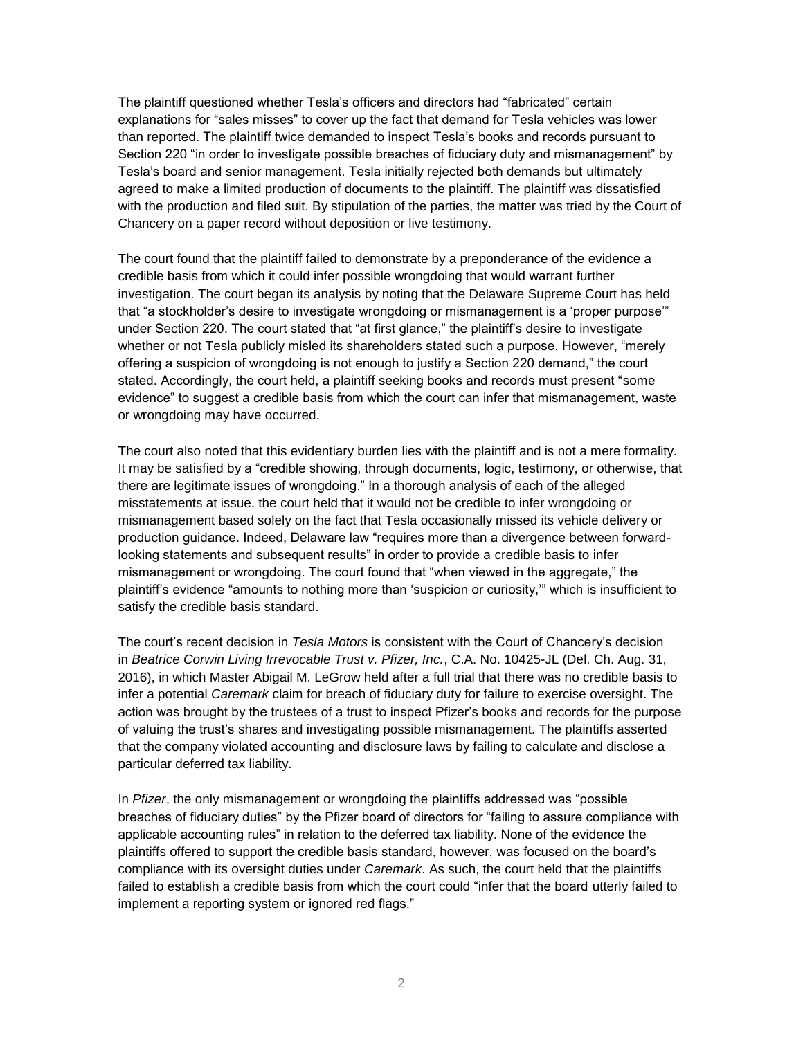The plaintiff questioned whether Tesla's officers and directors had "fabricated" certain explanations for "sales misses" to cover up the fact that demand for Tesla vehicles was lower than reported. The plaintiff twice demanded to inspect Tesla's books and records pursuant to Section 220 "in order to investigate possible breaches of fiduciary duty and mismanagement" by Tesla's board and senior management. Tesla initially rejected both demands but ultimately agreed to make a limited production of documents to the plaintiff. The plaintiff was dissatisfied with the production and filed suit. By stipulation of the parties, the matter was tried by the Court of Chancery on a paper record without deposition or live testimony.

The court found that the plaintiff failed to demonstrate by a preponderance of the evidence a credible basis from which it could infer possible wrongdoing that would warrant further investigation. The court began its analysis by noting that the Delaware Supreme Court has held that "a stockholder's desire to investigate wrongdoing or mismanagement is a 'proper purpose'" under Section 220. The court stated that "at first glance," the plaintiff's desire to investigate whether or not Tesla publicly misled its shareholders stated such a purpose. However, "merely offering a suspicion of wrongdoing is not enough to justify a Section 220 demand," the court stated. Accordingly, the court held, a plaintiff seeking books and records must present "some evidence" to suggest a credible basis from which the court can infer that mismanagement, waste or wrongdoing may have occurred.

The court also noted that this evidentiary burden lies with the plaintiff and is not a mere formality. It may be satisfied by a "credible showing, through documents, logic, testimony, or otherwise, that there are legitimate issues of wrongdoing." In a thorough analysis of each of the alleged misstatements at issue, the court held that it would not be credible to infer wrongdoing or mismanagement based solely on the fact that Tesla occasionally missed its vehicle delivery or production guidance. Indeed, Delaware law "requires more than a divergence between forwardlooking statements and subsequent results" in order to provide a credible basis to infer mismanagement or wrongdoing. The court found that "when viewed in the aggregate," the plaintiff's evidence "amounts to nothing more than 'suspicion or curiosity,'" which is insufficient to satisfy the credible basis standard.

The court's recent decision in *Tesla Motors* is consistent with the Court of Chancery's decision in *Beatrice Corwin Living Irrevocable Trust v. Pfizer, Inc.*, C.A. No. 10425-JL (Del. Ch. Aug. 31, 2016), in which Master Abigail M. LeGrow held after a full trial that there was no credible basis to infer a potential *Caremark* claim for breach of fiduciary duty for failure to exercise oversight. The action was brought by the trustees of a trust to inspect Pfizer's books and records for the purpose of valuing the trust's shares and investigating possible mismanagement. The plaintiffs asserted that the company violated accounting and disclosure laws by failing to calculate and disclose a particular deferred tax liability.

In *Pfizer*, the only mismanagement or wrongdoing the plaintiffs addressed was "possible breaches of fiduciary duties" by the Pfizer board of directors for "failing to assure compliance with applicable accounting rules" in relation to the deferred tax liability. None of the evidence the plaintiffs offered to support the credible basis standard, however, was focused on the board's compliance with its oversight duties under *Caremark*. As such, the court held that the plaintiffs failed to establish a credible basis from which the court could "infer that the board utterly failed to implement a reporting system or ignored red flags."